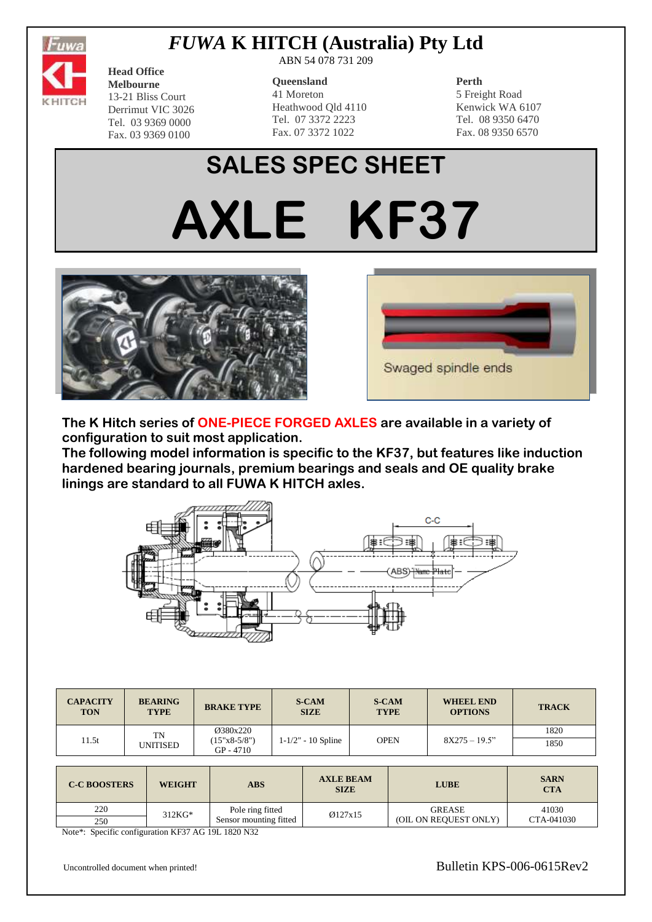

## *FUWA* **K HITCH (Australia) Pty Ltd**

**Head Office Melbourne** 13-21 Bliss Court Derrimut VIC 3026 Tel. 03 9369 0000 Fax. 03 9369 0100

ABN 54 078 731 209

#### **Queensland**

41 Moreton Heathwood Qld 4110 Tel. 07 3372 2223 Fax. 07 3372 1022

### **Perth**

5 Freight Road Kenwick WA 6107 Tel. 08 9350 6470 Fax. 08 9350 6570

# **SALES SPEC SHEET AXLE KF37**





**The K Hitch series of ONE-PIECE FORGED AXLES are available in a variety of configuration to suit most application.**

**The following model information is specific to the KF37, but features like induction hardened bearing journals, premium bearings and seals and OE quality brake linings are standard to all FUWA K HITCH axles.**



| <b>CAPACITY</b><br><b>TON</b> | <b>BEARING</b><br><b>TYPE</b> | <b>BRAKE TYPE</b>                         | <b>S-CAM</b><br><b>SIZE</b> | <b>S-CAM</b><br><b>TYPE</b> | <b>WHEEL END</b><br><b>OPTIONS</b> | <b>TRACK</b> |
|-------------------------------|-------------------------------|-------------------------------------------|-----------------------------|-----------------------------|------------------------------------|--------------|
| 11.5t                         | TN<br>UNITISED                | Ø380x220<br>$(15"x8-5/8")$<br>$GP - 4710$ | $1 - 1/2" - 10$ Spline      | OPEN                        | $8X275 - 19.5$ "                   | 1820<br>1850 |

| <b>C-C BOOSTERS</b> | <b>WEIGHT</b> | ABS                    | <b>AXLE BEAM</b><br><b>SIZE</b> | <b>LUBE</b>           | <b>SARN</b><br><b>CTA</b> |
|---------------------|---------------|------------------------|---------------------------------|-----------------------|---------------------------|
| 220                 | $312KG*$      | Pole ring fitted       | Ø127x15                         | <b>GREASE</b>         | 41030                     |
| 250                 |               | Sensor mounting fitted |                                 | (OIL ON REQUEST ONLY) | CTA-041030                |

Note\*: Specific configuration KF37 AG 19L 1820 N32

Uncontrolled document when printed!<br>
Bulletin KPS-006-0615Rev2